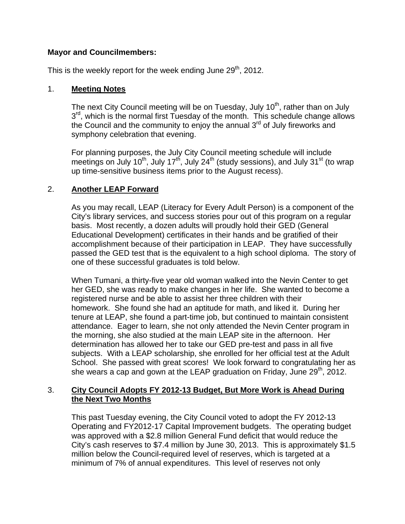# **Mayor and Councilmembers:**

This is the weekly report for the week ending June  $29<sup>th</sup>$ , 2012.

# 1. **Meeting Notes**

The next City Council meeting will be on Tuesday, July 10<sup>th</sup>, rather than on July  $3<sup>rd</sup>$ , which is the normal first Tuesday of the month. This schedule change allows the Council and the community to enjoy the annual  $3<sup>rd</sup>$  of July fireworks and symphony celebration that evening.

For planning purposes, the July City Council meeting schedule will include meetings on July 10<sup>th</sup>, July 17<sup>th</sup>, July 24<sup>th</sup> (study sessions), and July 31<sup>st</sup> (to wrap up time-sensitive business items prior to the August recess).

# 2. **Another LEAP Forward**

As you may recall, LEAP (Literacy for Every Adult Person) is a component of the City's library services, and success stories pour out of this program on a regular basis. Most recently, a dozen adults will proudly hold their GED (General Educational Development) certificates in their hands and be gratified of their accomplishment because of their participation in LEAP. They have successfully passed the GED test that is the equivalent to a high school diploma. The story of one of these successful graduates is told below.

When Tumani, a thirty-five year old woman walked into the Nevin Center to get her GED, she was ready to make changes in her life. She wanted to become a registered nurse and be able to assist her three children with their homework. She found she had an aptitude for math, and liked it. During her tenure at LEAP, she found a part-time job, but continued to maintain consistent attendance. Eager to learn, she not only attended the Nevin Center program in the morning, she also studied at the main LEAP site in the afternoon. Her determination has allowed her to take our GED pre-test and pass in all five subjects. With a LEAP scholarship, she enrolled for her official test at the Adult School. She passed with great scores! We look forward to congratulating her as she wears a cap and gown at the LEAP graduation on Friday, June  $29<sup>th</sup>$ , 2012.

## 3. **City Council Adopts FY 2012-13 Budget, But More Work is Ahead During the Next Two Months**

This past Tuesday evening, the City Council voted to adopt the FY 2012-13 Operating and FY2012-17 Capital Improvement budgets. The operating budget was approved with a \$2.8 million General Fund deficit that would reduce the City's cash reserves to \$7.4 million by June 30, 2013. This is approximately \$1.5 million below the Council-required level of reserves, which is targeted at a minimum of 7% of annual expenditures. This level of reserves not only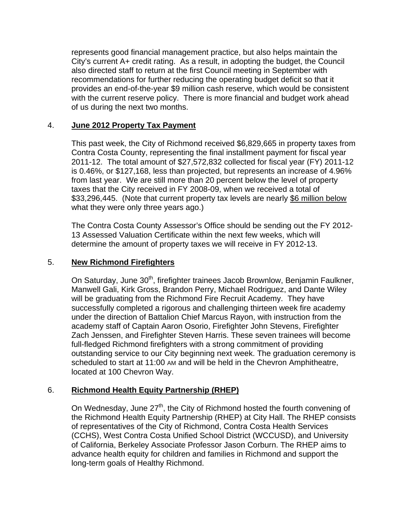represents good financial management practice, but also helps maintain the City's current A+ credit rating. As a result, in adopting the budget, the Council also directed staff to return at the first Council meeting in September with recommendations for further reducing the operating budget deficit so that it provides an end-of-the-year \$9 million cash reserve, which would be consistent with the current reserve policy. There is more financial and budget work ahead of us during the next two months.

# 4. **June 2012 Property Tax Payment**

This past week, the City of Richmond received \$6,829,665 in property taxes from Contra Costa County, representing the final installment payment for fiscal year 2011-12. The total amount of \$27,572,832 collected for fiscal year (FY) 2011-12 is 0.46%, or \$127,168, less than projected, but represents an increase of 4.96% from last year. We are still more than 20 percent below the level of property taxes that the City received in FY 2008-09, when we received a total of \$33,296,445. (Note that current property tax levels are nearly \$6 million below what they were only three years ago.)

The Contra Costa County Assessor's Office should be sending out the FY 2012- 13 Assessed Valuation Certificate within the next few weeks, which will determine the amount of property taxes we will receive in FY 2012-13.

# 5. **New Richmond Firefighters**

On Saturday, June 30<sup>th</sup>, firefighter trainees Jacob Brownlow, Benjamin Faulkner, Manwell Gali, Kirk Gross, Brandon Perry, Michael Rodriguez, and Dante Wiley will be graduating from the Richmond Fire Recruit Academy. They have successfully completed a rigorous and challenging thirteen week fire academy under the direction of Battalion Chief Marcus Rayon, with instruction from the academy staff of Captain Aaron Osorio, Firefighter John Stevens, Firefighter Zach Jenssen, and Firefighter Steven Harris. These seven trainees will become full-fledged Richmond firefighters with a strong commitment of providing outstanding service to our City beginning next week. The graduation ceremony is scheduled to start at 11:00 AM and will be held in the Chevron Amphitheatre, located at 100 Chevron Way.

# 6. **Richmond Health Equity Partnership (RHEP)**

On Wednesday, June  $27<sup>th</sup>$ , the City of Richmond hosted the fourth convening of the Richmond Health Equity Partnership (RHEP) at City Hall. The RHEP consists of representatives of the City of Richmond, Contra Costa Health Services (CCHS), West Contra Costa Unified School District (WCCUSD), and University of California, Berkeley Associate Professor Jason Corburn. The RHEP aims to advance health equity for children and families in Richmond and support the long-term goals of Healthy Richmond.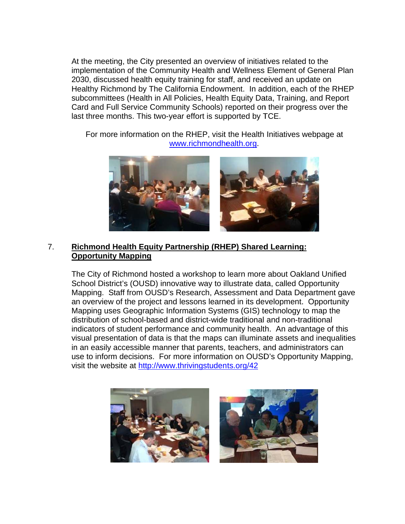At the meeting, the City presented an overview of initiatives related to the implementation of the Community Health and Wellness Element of General Plan 2030, discussed health equity training for staff, and received an update on Healthy Richmond by The California Endowment. In addition, each of the RHEP subcommittees (Health in All Policies, Health Equity Data, Training, and Report Card and Full Service Community Schools) reported on their progress over the last three months. This two-year effort is supported by TCE.

For more information on the RHEP, visit the Health Initiatives webpage at www.richmondhealth.org.



### $7<sub>1</sub>$ **Richmond Health Equity Partnership (RHEP) Shared Learning: Opportunity Mapping**

The City of Richmond hosted a workshop to learn more about Oakland Unified School District's (OUSD) innovative way to illustrate data, called Opportunity Mapping. Staff from OUSD's Research, Assessment and Data Department gave an overview of the project and lessons learned in its development. Opportunity Mapping uses Geographic Information Systems (GIS) technology to map the distribution of school-based and district-wide traditional and non-traditional indicators of student performance and community health. An advantage of this visual presentation of data is that the maps can illuminate assets and inequalities in an easily accessible manner that parents, teachers, and administrators can use to inform decisions. For more information on OUSD's Opportunity Mapping, visit the website at http://www.thrivingstudents.org/42

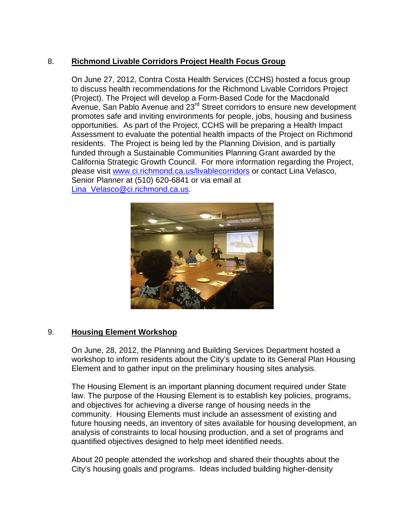### 8. **Richmond Livable Corridors Project Health Focus Group**

On June 27, 2012, Contra Costa Health Services (CCHS) hosted a focus group to discuss health recommendations for the Richmond Livable Corridors Project (Project). The Project will develop a Form-Based Code for the Macdonald Avenue, San Pablo Avenue and 23<sup>rd</sup> Street corridors to ensure new development promotes safe and inviting environments for people, jobs, housing and business opportunities. As part of the Project, CCHS will be preparing a Health Impact Assessment to evaluate the potential health impacts of the Project on Richmond residents. The Project is being led by the Planning Division, and is partially funded through a Sustainable Communities Planning Grant awarded by the California Strategic Growth Council. For more information regarding the Project, please visit www.ci.richmond.ca.us/livablecorridors or contact Lina Velasco, Senior Planner at (510) 620-6841 or via email at Lina Velasco@ci.richmond.ca.us.



### 9. **Housing Element Workshop**

On June, 28, 2012, the Planning and Building Services Department hosted a workshop to inform residents about the City's update to its General Plan Housing Element and to gather input on the preliminary housing sites analysis.

The Housing Element is an important planning document required under State law. The purpose of the Housing Element is to establish key policies, programs, and objectives for achieving a diverse range of housing needs in the community. Housing Elements must include an assessment of existing and future housing needs, an inventory of sites available for housing development, an analysis of constraints to local housing production, and a set of programs and quantified objectives designed to help meet identified needs.

About 20 people attended the workshop and shared their thoughts about the City's housing goals and programs. Ideas included building higher-density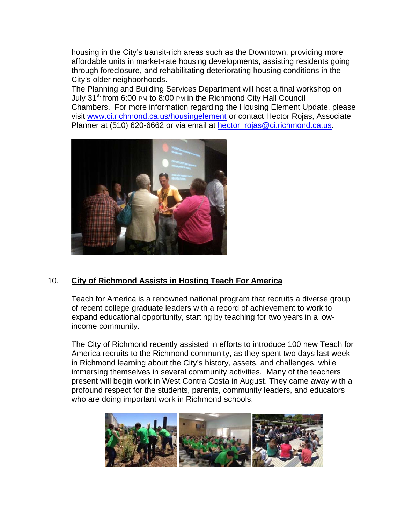housing in the City's transit-rich areas such as the Downtown, providing more affordable units in market-rate housing developments, assisting residents going through foreclosure, and rehabilitating deteriorating housing conditions in the City's older neighborhoods.

The Planning and Building Services Department will host a final workshop on July 31<sup>st</sup> from 6:00 PM to 8:00 PM in the Richmond City Hall Council Chambers. For more information regarding the Housing Element Update, please visit www.ci.richmond.ca.us/housingelement or contact Hector Rojas, Associate Planner at (510) 620-6662 or via email at hector rojas@ci.richmond.ca.us.



#### $10.$ **City of Richmond Assists in Hosting Teach For America**

Teach for America is a renowned national program that recruits a diverse group of recent college graduate leaders with a record of achievement to work to expand educational opportunity, starting by teaching for two years in a lowincome community.

The City of Richmond recently assisted in efforts to introduce 100 new Teach for America recruits to the Richmond community, as they spent two days last week in Richmond learning about the City's history, assets, and challenges, while immersing themselves in several community activities. Many of the teachers present will begin work in West Contra Costa in August. They came away with a profound respect for the students, parents, community leaders, and educators who are doing important work in Richmond schools.

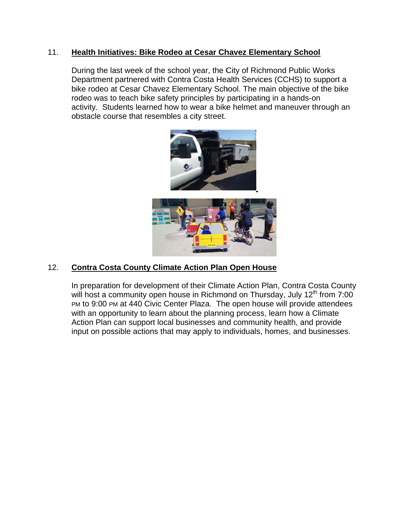#### $11.$ Health Initiatives: Bike Rodeo at Cesar Chavez Elementary School

During the last week of the school year, the City of Richmond Public Works Department partnered with Contra Costa Health Services (CCHS) to support a bike rodeo at Cesar Chavez Elementary School. The main objective of the bike rodeo was to teach bike safety principles by participating in a hands-on activity. Students learned how to wear a bike helmet and maneuver through an obstacle course that resembles a city street.



### **Contra Costa County Climate Action Plan Open House**  $12.$

In preparation for development of their Climate Action Plan, Contra Costa County will host a community open house in Richmond on Thursday, July 12<sup>th</sup> from 7:00 PM to 9:00 PM at 440 Civic Center Plaza. The open house will provide attendees with an opportunity to learn about the planning process, learn how a Climate Action Plan can support local businesses and community health, and provide input on possible actions that may apply to individuals, homes, and businesses.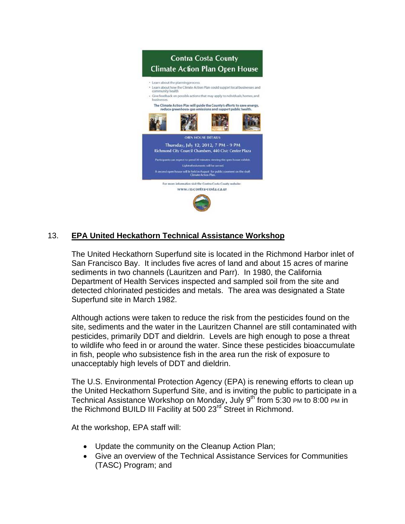

### $13.$ **EPA United Heckathorn Technical Assistance Workshop**

The United Heckathorn Superfund site is located in the Richmond Harbor inlet of San Francisco Bay. It includes five acres of land and about 15 acres of marine sediments in two channels (Lauritzen and Parr). In 1980, the California Department of Health Services inspected and sampled soil from the site and detected chlorinated pesticides and metals. The area was designated a State Superfund site in March 1982.

Although actions were taken to reduce the risk from the pesticides found on the site, sediments and the water in the Lauritzen Channel are still contaminated with pesticides, primarily DDT and dieldrin. Levels are high enough to pose a threat to wildlife who feed in or around the water. Since these pesticides bioaccumulate in fish, people who subsistence fish in the area run the risk of exposure to unacceptably high levels of DDT and dieldrin.

The U.S. Environmental Protection Agency (EPA) is renewing efforts to clean up the United Heckathorn Superfund Site, and is inviting the public to participate in a Technical Assistance Workshop on Monday, July 9<sup>th</sup> from 5:30 PM to 8:00 PM in the Richmond BUILD III Facility at 500 23<sup>rd</sup> Street in Richmond.

At the workshop, EPA staff will:

- Update the community on the Cleanup Action Plan;
- Give an overview of the Technical Assistance Services for Communities  $\bullet$ (TASC) Program; and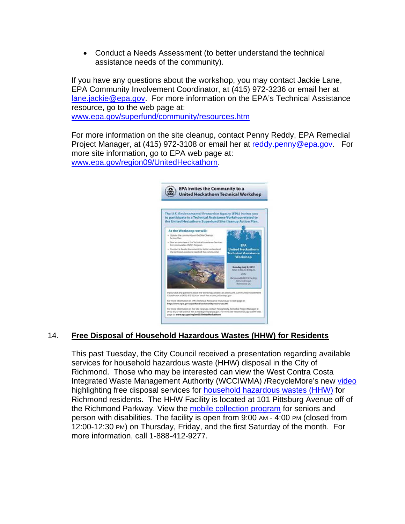Conduct a Needs Assessment (to better understand the technical  $\bullet$ assistance needs of the community).

If you have any questions about the workshop, you may contact Jackie Lane, EPA Community Involvement Coordinator, at (415) 972-3236 or email her at lane.jackie@epa.gov. For more information on the EPA's Technical Assistance resource, go to the web page at: www.epa.gov/superfund/community/resources.htm

For more information on the site cleanup, contact Penny Reddy, EPA Remedial Project Manager, at (415) 972-3108 or email her at reddy.penny@epa.gov. For more site information, go to EPA web page at: www.epa.gov/region09/UnitedHeckathorn.



### Free Disposal of Household Hazardous Wastes (HHW) for Residents  $14.$

This past Tuesday, the City Council received a presentation regarding available services for household hazardous waste (HHW) disposal in the City of Richmond. Those who may be interested can view the West Contra Costa Integrated Waste Management Authority (WCCIWMA) / RecycleMore's new video highlighting free disposal services for household hazardous wastes (HHW) for Richmond residents. The HHW Facility is located at 101 Pittsburg Avenue off of the Richmond Parkway. View the mobile collection program for seniors and person with disabilities. The facility is open from 9:00 AM - 4:00 PM (closed from 12:00-12:30 PM) on Thursday, Friday, and the first Saturday of the month. For more information, call 1-888-412-9277.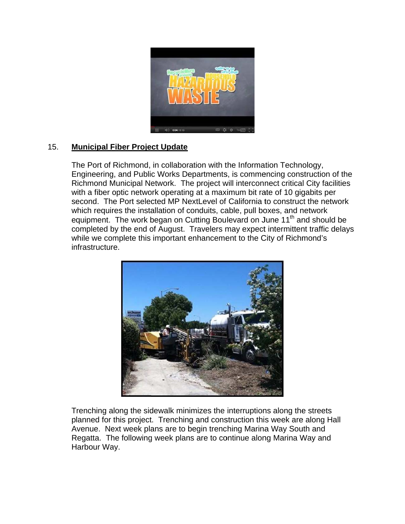

### $15<sub>1</sub>$ **Municipal Fiber Project Update**

The Port of Richmond, in collaboration with the Information Technology, Engineering, and Public Works Departments, is commencing construction of the Richmond Municipal Network. The project will interconnect critical City facilities with a fiber optic network operating at a maximum bit rate of 10 gigabits per second. The Port selected MP NextLevel of California to construct the network which requires the installation of conduits, cable, pull boxes, and network equipment. The work began on Cutting Boulevard on June 11<sup>th</sup> and should be completed by the end of August. Travelers may expect intermittent traffic delays while we complete this important enhancement to the City of Richmond's infrastructure.



Trenching along the sidewalk minimizes the interruptions along the streets planned for this project. Trenching and construction this week are along Hall Avenue. Next week plans are to begin trenching Marina Way South and Regatta. The following week plans are to continue along Marina Way and Harbour Way.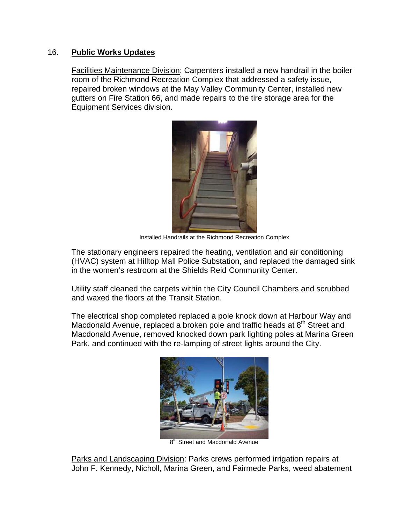#### $16.$ **Public Works Updates**

Facilities Maintenance Division: Carpenters installed a new handrail in the boiler room of the Richmond Recreation Complex that addressed a safety issue, repaired broken windows at the May Valley Community Center, installed new gutters on Fire Station 66, and made repairs to the tire storage area for the Equipment Services division.



Installed Handrails at the Richmond Recreation Complex

The stationary engineers repaired the heating, ventilation and air conditioning (HVAC) system at Hilltop Mall Police Substation, and replaced the damaged sink in the women's restroom at the Shields Reid Community Center.

Utility staff cleaned the carpets within the City Council Chambers and scrubbed and waxed the floors at the Transit Station.

The electrical shop completed replaced a pole knock down at Harbour Way and Macdonald Avenue, replaced a broken pole and traffic heads at 8<sup>th</sup> Street and Macdonald Avenue, removed knocked down park lighting poles at Marina Green Park, and continued with the re-lamping of street lights around the City.



8<sup>th</sup> Street and Macdonald Avenue

Parks and Landscaping Division: Parks crews performed irrigation repairs at John F. Kennedy, Nicholl, Marina Green, and Fairmede Parks, weed abatement